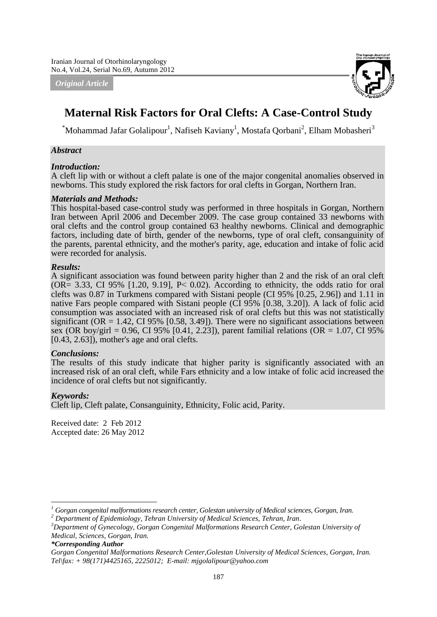*Original Article*



# **Maternal Risk Factors for Oral Clefts: A Case-Control Study**

 ${}^*$ Mohammad Jafar Golalipour<sup>1</sup>, Nafiseh Kaviany<sup>1</sup>, Mostafa Qorbani<sup>2</sup>, Elham Mobasheri<sup>3</sup>

#### *Abstract*

#### *Introduction:*

A cleft lip with or without a cleft palate is one of the major congenital anomalies observed in newborns. This study explored the risk factors for oral clefts in Gorgan, Northern Iran.

#### *Materials and Methods:*

This hospital-based case-control study was performed in three hospitals in Gorgan, Northern Iran between April 2006 and December 2009. The case group contained 33 newborns with oral clefts and the control group contained 63 healthy newborns. Clinical and demographic factors, including date of birth, gender of the newborns, type of oral cleft, consanguinity of the parents, parental ethnicity, and the mother's parity, age, education and intake of folic acid were recorded for analysis.

#### *Results:*

A significant association was found between parity higher than 2 and the risk of an oral cleft  $(OR = 3.33, CI 95\% [1.20, 9.19], P < 0.02)$ . According to ethnicity, the odds ratio for oral clefts was 0.87 in Turkmens compared with Sistani people (CI 95% [0.25, 2.96]) and 1.11 in native Fars people compared with Sistani people (CI 95% [0.38, 3.20]). A lack of folic acid consumption was associated with an increased risk of oral clefts but this was not statistically significant ( $OR = 1.42$ ,  $CI 95\%$  [0.58, 3.49]). There were no significant associations between sex (OR boy/girl = 0.96, CI 95% [0.41, 2.23]), parent familial relations (OR = 1.07, CI 95%) [0.43, 2.63]), mother's age and oral clefts.

## *Conclusions:*

The results of this study indicate that higher parity is significantly associated with an increased risk of an oral cleft, while Fars ethnicity and a low intake of folic acid increased the incidence of oral clefts but not significantly.

## *Keywords:*

**.** 

Cleft lip, Cleft palate, Consanguinity, Ethnicity, Folic acid, Parity.

Received date: 2 Feb 2012 Accepted date: 26 May 2012

*<sup>1</sup> Gorgan congenital malformations research center, Golestan university of Medical sciences, Gorgan, Iran.*

*<sup>2</sup> Department of Epidemiology, Tehran University of Medical Sciences, Tehran, Iran.*

*<sup>3</sup>Department of Gynecology, Gorgan Congenital Malformations Research Center, Golestan University of Medical, Sciences, Gorgan, Iran.*

*<sup>\*</sup>Corresponding Author*

*Gorgan Congenital Malformations Research Center,Golestan University of Medical Sciences, Gorgan, Iran. Tel\fax: + 98(171)4425165, 2225012; E-mail[: mjgolalipour@yahoo.com](mailto:mjgolalipour@yahoo.com)*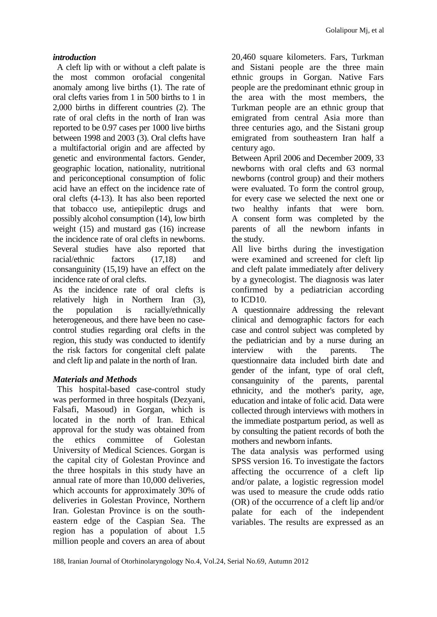## *introduction*

A cleft lip with or without a cleft palate is the most common orofacial congenital anomaly among live births (1). The rate of oral clefts varies from 1 in 500 births to 1 in 2,000 births in different countries (2). The rate of oral clefts in the north of Iran was reported to be 0.97 cases per 1000 live births between 1998 and 2003 (3). Oral clefts have a multifactorial origin and are affected by genetic and environmental factors. Gender, geographic location, nationality, nutritional and periconceptional consumption of folic acid have an effect on the incidence rate of oral clefts (4-13). It has also been reported that tobacco use, antiepileptic drugs and possibly alcohol consumption (14), low birth weight (15) and mustard gas (16) increase the incidence rate of oral clefts in newborns. Several studies have also reported that racial/ethnic factors (17,18) and consanguinity (15,19) have an effect on the incidence rate of oral clefts.

As the incidence rate of oral clefts is relatively high in Northern Iran (3), the population is racially/ethnically heterogeneous, and there have been no casecontrol studies regarding oral clefts in the region, this study was conducted to identify the risk factors for congenital cleft palate and cleft lip and palate in the north of Iran.

# *Materials and Methods*

This hospital-based case-control study was performed in three hospitals (Dezyani, Falsafi, Masoud) in Gorgan, which is located in the north of Iran. Ethical approval for the study was obtained from the ethics committee of Golestan University of Medical Sciences. Gorgan is the capital city of Golestan Province and the three hospitals in this study have an annual rate of more than 10,000 deliveries, which accounts for approximately 30% of deliveries in Golestan Province, Northern Iran. Golestan Province is on the southeastern edge of the Caspian Sea. The region has a population of about 1.5 million people and covers an area of about 20,460 square kilometers. Fars, Turkman and Sistani people are the three main ethnic groups in Gorgan. Native Fars people are the predominant ethnic group in the area with the most members, the Turkman people are an ethnic group that emigrated from central Asia more than three centuries ago, and the Sistani group emigrated from southeastern Iran half a century ago.

Between April 2006 and December 2009, 33 newborns with oral clefts and 63 normal newborns (control group) and their mothers were evaluated. To form the control group, for every case we selected the next one or two healthy infants that were born. A consent form was completed by the parents of all the newborn infants in the study.

All live births during the investigation were examined and screened for cleft lip and cleft palate immediately after delivery by a gynecologist. The diagnosis was later confirmed by a pediatrician according to ICD10.

A questionnaire addressing the relevant clinical and demographic factors for each case and control subject was completed by the pediatrician and by a nurse during an interview with the parents. The questionnaire data included birth date and gender of the infant, type of oral cleft, consanguinity of the parents, parental ethnicity, and the mother's parity, age, education and intake of folic acid. Data were collected through interviews with mothers in the immediate postpartum period, as well as by consulting the patient records of both the mothers and newborn infants.

The data analysis was performed using SPSS version 16. To investigate the factors affecting the occurrence of a cleft lip and/or palate, a logistic regression model was used to measure the crude odds ratio (OR) of the occurrence of a cleft lip and/or palate for each of the independent variables. The results are expressed as an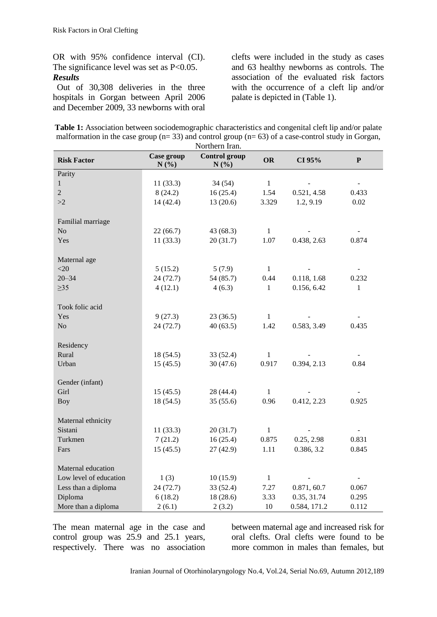OR with 95% confidence interval (CI). The significance level was set as P<0.05. *Results*

Out of 30,308 deliveries in the three hospitals in Gorgan between April 2006 and December 2009, 33 newborns with oral clefts were included in the study as cases and 63 healthy newborns as controls. The association of the evaluated risk factors with the occurrence of a cleft lip and/or palate is depicted in (Table 1).

| <b>Table 1:</b> Association between sociodemographic characteristics and congenital cleft lip and/or palate |
|-------------------------------------------------------------------------------------------------------------|
| malformation in the case group ( $n=33$ ) and control group ( $n=63$ ) of a case-control study in Gorgan,   |
| Northern Iran.                                                                                              |

| <b>OR</b><br>CI 95%<br>$\mathbf P$<br><b>Risk Factor</b><br>N(%)<br>N(%)<br>Parity<br>$\mathbf{1}$<br>$\mathbf{1}$<br>11(33.3)<br>34(54)<br>$\overline{2}$<br>1.54<br>8(24.2)<br>16(25.4)<br>0.521, 4.58<br>0.433<br>3.329<br>1.2, 9.19<br>>2<br>14(42.4)<br>13(20.6)<br>0.02<br>Familial marriage<br>No<br>$\,1\,$<br>22(66.7)<br>43(68.3)<br>Yes<br>11(33.3)<br>20(31.7)<br>1.07<br>0.438, 2.63<br>0.874<br>Maternal age<br><20<br>5(15.2)<br>5(7.9)<br>$\mathbf{1}$<br>$20 - 34$<br>24(72.7)<br>54 (85.7)<br>0.44<br>0.118, 1.68<br>0.232<br>$\geq$ 35<br>4(12.1)<br>0.156, 6.42<br>$\mathbf{1}$<br>4(6.3)<br>$\mathbf{1}$<br>Took folic acid<br>Yes<br>$\mathbf{1}$<br>9(27.3)<br>23(36.5)<br>N <sub>o</sub><br>24(72.7)<br>40(63.5)<br>1.42<br>0.583, 3.49<br>0.435<br>Residency<br>Rural<br>18(54.5)<br>33 (52.4)<br>$\mathbf{1}$<br>0.917<br>0.394, 2.13<br>Urban<br>30(47.6)<br>0.84<br>15(45.5) |                 |            | 1 voluletti muit     |  |  |
|----------------------------------------------------------------------------------------------------------------------------------------------------------------------------------------------------------------------------------------------------------------------------------------------------------------------------------------------------------------------------------------------------------------------------------------------------------------------------------------------------------------------------------------------------------------------------------------------------------------------------------------------------------------------------------------------------------------------------------------------------------------------------------------------------------------------------------------------------------------------------------------------------------|-----------------|------------|----------------------|--|--|
|                                                                                                                                                                                                                                                                                                                                                                                                                                                                                                                                                                                                                                                                                                                                                                                                                                                                                                          |                 | Case group | <b>Control group</b> |  |  |
|                                                                                                                                                                                                                                                                                                                                                                                                                                                                                                                                                                                                                                                                                                                                                                                                                                                                                                          |                 |            |                      |  |  |
|                                                                                                                                                                                                                                                                                                                                                                                                                                                                                                                                                                                                                                                                                                                                                                                                                                                                                                          |                 |            |                      |  |  |
|                                                                                                                                                                                                                                                                                                                                                                                                                                                                                                                                                                                                                                                                                                                                                                                                                                                                                                          |                 |            |                      |  |  |
|                                                                                                                                                                                                                                                                                                                                                                                                                                                                                                                                                                                                                                                                                                                                                                                                                                                                                                          |                 |            |                      |  |  |
|                                                                                                                                                                                                                                                                                                                                                                                                                                                                                                                                                                                                                                                                                                                                                                                                                                                                                                          |                 |            |                      |  |  |
|                                                                                                                                                                                                                                                                                                                                                                                                                                                                                                                                                                                                                                                                                                                                                                                                                                                                                                          |                 |            |                      |  |  |
|                                                                                                                                                                                                                                                                                                                                                                                                                                                                                                                                                                                                                                                                                                                                                                                                                                                                                                          |                 |            |                      |  |  |
|                                                                                                                                                                                                                                                                                                                                                                                                                                                                                                                                                                                                                                                                                                                                                                                                                                                                                                          |                 |            |                      |  |  |
|                                                                                                                                                                                                                                                                                                                                                                                                                                                                                                                                                                                                                                                                                                                                                                                                                                                                                                          |                 |            |                      |  |  |
|                                                                                                                                                                                                                                                                                                                                                                                                                                                                                                                                                                                                                                                                                                                                                                                                                                                                                                          |                 |            |                      |  |  |
|                                                                                                                                                                                                                                                                                                                                                                                                                                                                                                                                                                                                                                                                                                                                                                                                                                                                                                          |                 |            |                      |  |  |
|                                                                                                                                                                                                                                                                                                                                                                                                                                                                                                                                                                                                                                                                                                                                                                                                                                                                                                          |                 |            |                      |  |  |
|                                                                                                                                                                                                                                                                                                                                                                                                                                                                                                                                                                                                                                                                                                                                                                                                                                                                                                          |                 |            |                      |  |  |
|                                                                                                                                                                                                                                                                                                                                                                                                                                                                                                                                                                                                                                                                                                                                                                                                                                                                                                          |                 |            |                      |  |  |
|                                                                                                                                                                                                                                                                                                                                                                                                                                                                                                                                                                                                                                                                                                                                                                                                                                                                                                          |                 |            |                      |  |  |
|                                                                                                                                                                                                                                                                                                                                                                                                                                                                                                                                                                                                                                                                                                                                                                                                                                                                                                          |                 |            |                      |  |  |
|                                                                                                                                                                                                                                                                                                                                                                                                                                                                                                                                                                                                                                                                                                                                                                                                                                                                                                          |                 |            |                      |  |  |
|                                                                                                                                                                                                                                                                                                                                                                                                                                                                                                                                                                                                                                                                                                                                                                                                                                                                                                          | Gender (infant) |            |                      |  |  |
| Girl<br>15(45.5)<br>28(44.4)<br>$\mathbf{1}$                                                                                                                                                                                                                                                                                                                                                                                                                                                                                                                                                                                                                                                                                                                                                                                                                                                             |                 |            |                      |  |  |
| 0.412, 2.23<br>0.925<br><b>Boy</b><br>18(54.5)<br>35(55.6)<br>0.96                                                                                                                                                                                                                                                                                                                                                                                                                                                                                                                                                                                                                                                                                                                                                                                                                                       |                 |            |                      |  |  |
| Maternal ethnicity                                                                                                                                                                                                                                                                                                                                                                                                                                                                                                                                                                                                                                                                                                                                                                                                                                                                                       |                 |            |                      |  |  |
| Sistani<br>11(33.3)<br>20(31.7)<br>$\mathbf{1}$<br>$\overline{\phantom{a}}$                                                                                                                                                                                                                                                                                                                                                                                                                                                                                                                                                                                                                                                                                                                                                                                                                              |                 |            |                      |  |  |
| Turkmen<br>7(21.2)<br>16(25.4)<br>0.25, 2.98<br>0.831<br>0.875                                                                                                                                                                                                                                                                                                                                                                                                                                                                                                                                                                                                                                                                                                                                                                                                                                           |                 |            |                      |  |  |
| 15(45.5)<br>1.11<br>0.386, 3.2<br>Fars<br>27(42.9)<br>0.845                                                                                                                                                                                                                                                                                                                                                                                                                                                                                                                                                                                                                                                                                                                                                                                                                                              |                 |            |                      |  |  |
| Maternal education                                                                                                                                                                                                                                                                                                                                                                                                                                                                                                                                                                                                                                                                                                                                                                                                                                                                                       |                 |            |                      |  |  |
| Low level of education<br>1(3)<br>10(15.9)<br>$1\,$                                                                                                                                                                                                                                                                                                                                                                                                                                                                                                                                                                                                                                                                                                                                                                                                                                                      |                 |            |                      |  |  |
| Less than a diploma<br>33(52.4)<br>24(72.7)<br>7.27<br>0.871, 60.7<br>0.067                                                                                                                                                                                                                                                                                                                                                                                                                                                                                                                                                                                                                                                                                                                                                                                                                              |                 |            |                      |  |  |
| Diploma<br>6(18.2)<br>18(28.6)<br>3.33<br>0.35, 31.74<br>0.295                                                                                                                                                                                                                                                                                                                                                                                                                                                                                                                                                                                                                                                                                                                                                                                                                                           |                 |            |                      |  |  |
| More than a diploma<br>2(6.1)<br>2(3.2)<br>10<br>0.584, 171.2<br>0.112                                                                                                                                                                                                                                                                                                                                                                                                                                                                                                                                                                                                                                                                                                                                                                                                                                   |                 |            |                      |  |  |

The mean maternal age in the case and control group was 25.9 and 25.1 years, respectively. There was no association between maternal age and increased risk for oral clefts. Oral clefts were found to be more common in males than females, but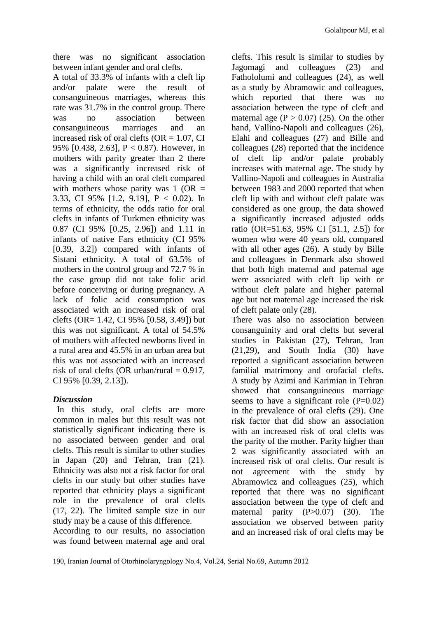there was no significant association between infant gender and oral clefts.

A total of 33.3% of infants with a cleft lip and/or palate were the result of consanguineous marriages, whereas this rate was 31.7% in the control group. There was no association between consanguineous marriages and an increased risk of oral clefts ( $OR = 1.07$ , CI 95% [0.438, 2.63], P < 0.87). However, in mothers with parity greater than 2 there was a significantly increased risk of having a child with an oral cleft compared with mothers whose parity was  $1$  (OR = 3.33, CI 95% [1.2, 9.19], P < 0.02). In terms of ethnicity, the odds ratio for oral clefts in infants of Turkmen ethnicity was 0.87 (CI 95% [0.25, 2.96]) and 1.11 in infants of native Fars ethnicity (CI 95% [0.39, 3.2]) compared with infants of Sistani ethnicity. A total of 63.5% of mothers in the control group and 72.7 % in the case group did not take folic acid before conceiving or during pregnancy. A lack of folic acid consumption was associated with an increased risk of oral clefts (OR= 1.42, CI 95% [0.58, 3.49]) but this was not significant. A total of 54.5% of mothers with affected newborns lived in a rural area and 45.5% in an urban area but this was not associated with an increased risk of oral clefts (OR urban/rural  $= 0.917$ , CI 95% [0.39, 2.13]).

# *Discussion*

In this study, oral clefts are more common in males but this result was not statistically significant indicating there is no associated between gender and oral clefts. This result is similar to other studies in Japan (20) and Tehran, Iran (21). Ethnicity was also not a risk factor for oral clefts in our study but other studies have reported that ethnicity plays a significant role in the prevalence of oral clefts (17, 22). The limited sample size in our study may be a cause of this difference.

According to our results, no association was found between maternal age and oral

clefts. This result is similar to studies by Jagomagi and colleagues (23) and Fathololumi and colleagues (24), as well as a study by Abramowic and colleagues, which reported that there was no association between the type of cleft and maternal age  $(P > 0.07)$  (25). On the other hand, Vallino-Napoli and colleagues (26), Elahi and colleagues (27) and Bille and colleagues (28) reported that the incidence of cleft lip and/or palate probably increases with maternal age. The study by Vallino-Napoli and colleagues in Australia between 1983 and 2000 reported that when cleft lip with and without cleft palate was considered as one group, the data showed a significantly increased adjusted odds ratio (OR=51.63, 95% CI [51.1, 2.5]) for women who were 40 years old, compared with all other ages (26). A study by Bille and colleagues in Denmark also showed that both high maternal and paternal age were associated with cleft lip with or without cleft palate and higher paternal age but not maternal age increased the risk of cleft palate only (28).

There was also no association between consanguinity and oral clefts but several studies in Pakistan (27), Tehran, Iran (21,29), and South India (30) have reported a significant association between familial matrimony and orofacial clefts. A study by Azimi and Karimian in Tehran showed that consanguineous marriage seems to have a significant role  $(P=0.02)$ in the prevalence of oral clefts (29). One risk factor that did show an association with an increased risk of oral clefts was the parity of the mother. Parity higher than 2 was significantly associated with an increased risk of oral clefts. Our result is not agreement with the study by Abramowicz and colleagues (25), which reported that there was no significant association between the type of cleft and maternal parity (P>0.07) (30). The association we observed between parity and an increased risk of oral clefts may be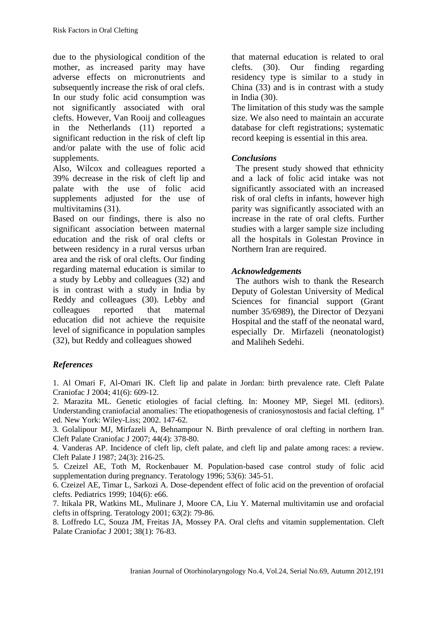due to the physiological condition of the mother, as increased parity may have adverse effects on micronutrients and subsequently increase the risk of oral clefs. In our study folic acid consumption was not significantly associated with oral clefts. However, Van Rooij and colleagues in the Netherlands (11) reported a significant reduction in the risk of cleft lip and/or palate with the use of folic acid supplements.

Also, Wilcox and colleagues reported a 39% decrease in the risk of cleft lip and palate with the use of folic acid supplements adjusted for the use of multivitamins (31).

Based on our findings, there is also no significant association between maternal education and the risk of oral clefts or between residency in a rural versus urban area and the risk of oral clefts. Our finding regarding maternal education is similar to a study by Lebby and colleagues (32) and is in contrast with a study in India by Reddy and colleagues (30). Lebby and colleagues reported that maternal education did not achieve the requisite level of significance in population samples (32), but Reddy and colleagues showed

that maternal education is related to oral clefts. (30). Our finding regarding residency type is similar to a study in China (33) and is in contrast with a study in India (30).

The limitation of this study was the sample size. We also need to maintain an accurate database for cleft registrations; systematic record keeping is essential in this area.

## *Conclusions*

The present study showed that ethnicity and a lack of folic acid intake was not significantly associated with an increased risk of oral clefts in infants, however high parity was significantly associated with an increase in the rate of oral clefts. Further studies with a larger sample size including all the hospitals in Golestan Province in Northern Iran are required.

## *Acknowledgements*

The authors wish to thank the Research Deputy of Golestan University of Medical Sciences for financial support (Grant number 35/6989), the Director of Dezyani Hospital and the staff of the neonatal ward, especially Dr. Mirfazeli (neonatologist) and Maliheh Sedehi.

# *References*

1. [Al Omari F,](http://www.ncbi.nlm.nih.gov/pubmed?term=%22Al%20Omari%20F%22%5BAuthor%5D) [Al-Omari IK.](http://www.ncbi.nlm.nih.gov/pubmed?term=%22Al-Omari%20IK%22%5BAuthor%5D) Cleft lip and palate in Jordan: birth prevalence rate. [Cleft Palate](javascript:AL_get(this,%20)  [Craniofac J](javascript:AL_get(this,%20) 2004; 41(6): 609-12.

2. Marazita ML. Genetic etiologies of facial clefting. In: Mooney MP, Siegel MI. (editors). Understanding craniofacial anomalies: The etiopathogenesis of craniosynostosis and facial clefting. 1st ed. New York: Wiley-Liss; 2002. 147-62.

3. [Golalipour MJ,](http://www.ncbi.nlm.nih.gov/pubmed?term=%22Golalipour%20MJ%22%5BAuthor%5D) [Mirfazeli A,](http://www.ncbi.nlm.nih.gov/pubmed?term=%22Mirfazeli%20A%22%5BAuthor%5D) [Behnampour N.](http://www.ncbi.nlm.nih.gov/pubmed?term=%22Behnampour%20N%22%5BAuthor%5D) Birth prevalence of oral clefting in northern Iran. [Cleft Palate Craniofac J](javascript:AL_get(this,%20) 2007; 44(4): 378-80.

4. Vanderas AP. Incidence of cleft lip, cleft palate, and cleft lip and palate among races: a review. [Cleft Palate J](http://www.ncbi.nlm.nih.gov/pubmed/3308178) 1987; 24(3): 216-25.

5. Czeizel AE, Toth M, Rockenbauer M. Population-based case control study of folic acid supplementation during pregnancy. [Teratology](http://www.ncbi.nlm.nih.gov/pubmed/8910980) 1996; 53(6): 345-51.

6. Czeizel AE, Timar L, Sarkozi A. Dose-dependent effect of folic acid on the prevention of orofacial clefts. Pediatrics 1999; 104(6): e66.

7. Itikala PR, Watkins ML, Mulinare J, [Moore CA,](http://www.ncbi.nlm.nih.gov/pubmed?term=%22Moore%20CA%22%5BAuthor%5D) [Liu Y.](http://www.ncbi.nlm.nih.gov/pubmed?term=%22Liu%20Y%22%5BAuthor%5D) Maternal multivitamin use and orofacial clefts in offspring. [Teratology](http://www.ncbi.nlm.nih.gov/pubmed/11241430) 2001; 63(2): 79-86.

8. Loffredo LC, Souza JM, Freitas JA, [Mossey PA.](http://www.ncbi.nlm.nih.gov/pubmed?term=%22Mossey%20PA%22%5BAuthor%5D) Oral clefts and vitamin supplementation. [Cleft](http://www.ncbi.nlm.nih.gov/pubmed/11204686)  [Palate Craniofac J](http://www.ncbi.nlm.nih.gov/pubmed/11204686) 2001; 38(1): 76-83.